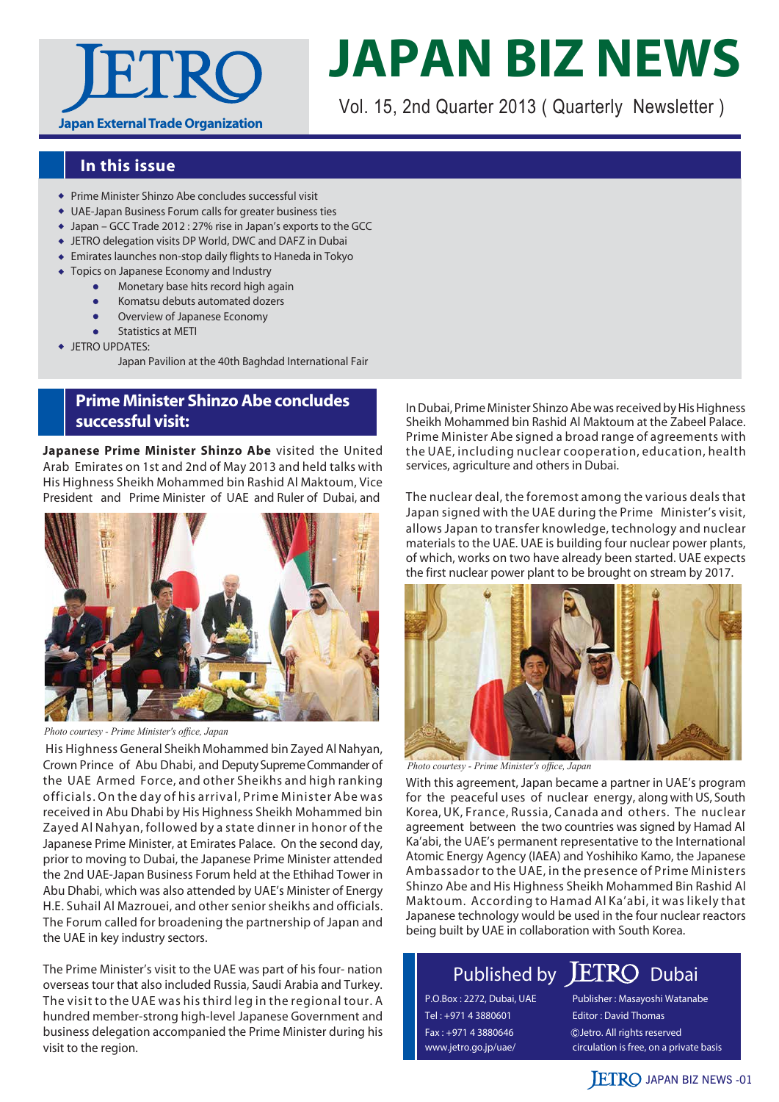

# **JAPAN BIZ NEWS**

Vol. 15, 2nd Quarter 2013 ( Quarterly Newsletter )

## **In this issue**

- Prime Minister Shinzo Abe concludes successful visit
- UAE-Japan Business Forum calls for greater business ties
- Japan GCC Trade 2012 : 27% rise in Japan's exports to the GCC
- JETRO delegation visits DP World, DWC and DAFZ in Dubai
- Emirates launches non-stop daily flights to Haneda in Tokyo
- Topics on Japanese Economy and Industry
	- Monetary base hits record high again
	- **•** Komatsu debuts automated dozers
	- Overview of Japanese Economy
	- Statistics at METI
- **+ JETRO UPDATES:** 
	- Japan Pavilion at the 40th Baghdad International Fair

# **Prime Minister Shinzo Abe concludes successful visit:**

**Japanese Prime Minister Shinzo Abe** visited the United Arab Emirates on 1st and 2nd of May 2013 and held talks with His Highness Sheikh Mohammed bin Rashid Al Maktoum, Vice President and Prime Minister of UAE and Ruler of Dubai, and



*Photo courtesy - Prime Minister's office, Japan*

 His Highness General Sheikh Mohammed bin Zayed Al Nahyan, Crown Prince of Abu Dhabi, and Deputy Supreme Commander of the UAE Armed Force, and other Sheikhs and high ranking officials. On the day of his arrival, Prime Minister Abe was received in Abu Dhabi by His Highness Sheikh Mohammed bin Zayed Al Nahyan, followed by a state dinner in honor of the Japanese Prime Minister, at Emirates Palace. On the second day, prior to moving to Dubai, the Japanese Prime Minister attended the 2nd UAE-Japan Business Forum held at the Ethihad Tower in Abu Dhabi, which was also attended by UAE's Minister of Energy H.E. Suhail Al Mazrouei, and other senior sheikhs and officials. The Forum called for broadening the partnership of Japan and the UAE in key industry sectors.

The Prime Minister's visit to the UAE was part of his four- nation overseas tour that also included Russia, Saudi Arabia and Turkey. The visit to the UAE was his third leg in the regional tour. A hundred member-strong high-level Japanese Government and business delegation accompanied the Prime Minister during his visit to the region.

In Dubai, Prime Minister Shinzo Abe was received by His Highness Sheikh Mohammed bin Rashid Al Maktoum at the Zabeel Palace. Prime Minister Abe signed a broad range of agreements with the UAE, including nuclear cooperation, education, health services, agriculture and others in Dubai.

The nuclear deal, the foremost among the various deals that Japan signed with the UAE during the Prime Minister's visit, allows Japan to transfer knowledge, technology and nuclear materials to the UAE. UAE is building four nuclear power plants, of which, works on two have already been started. UAE expects the first nuclear power plant to be brought on stream by 2017.



*Photo courtesy - Prime Minister's office, Japan*

With this agreement, Japan became a partner in UAE's program for the peaceful uses of nuclear energy, along with US, South Korea, UK, France, Russia, Canada and others. The nuclear agreement between the two countries was signed by Hamad Al Ka'abi, the UAE's permanent representative to the International Atomic Energy Agency (IAEA) and Yoshihiko Kamo, the Japanese Ambassador to the UAE, in the presence of Prime Ministers Shinzo Abe and His Highness Sheikh Mohammed Bin Rashid Al Maktoum. According to Hamad Al Ka'abi, it was likely that Japanese technology would be used in the four nuclear reactors being built by UAE in collaboration with South Korea.

# Published by **ETRO** Dubai

P.O.Box : 2272, Dubai, UAE Tel : +971 4 3880601 Fax : +971 4 3880646 www.jetro.go.jp/uae/

Publisher : Masayoshi Watanabe Editor : David Thomas circulation is free, on a private basis Jetro. All rights reserved

# **JETRO JAPAN BIZ NEWS -01**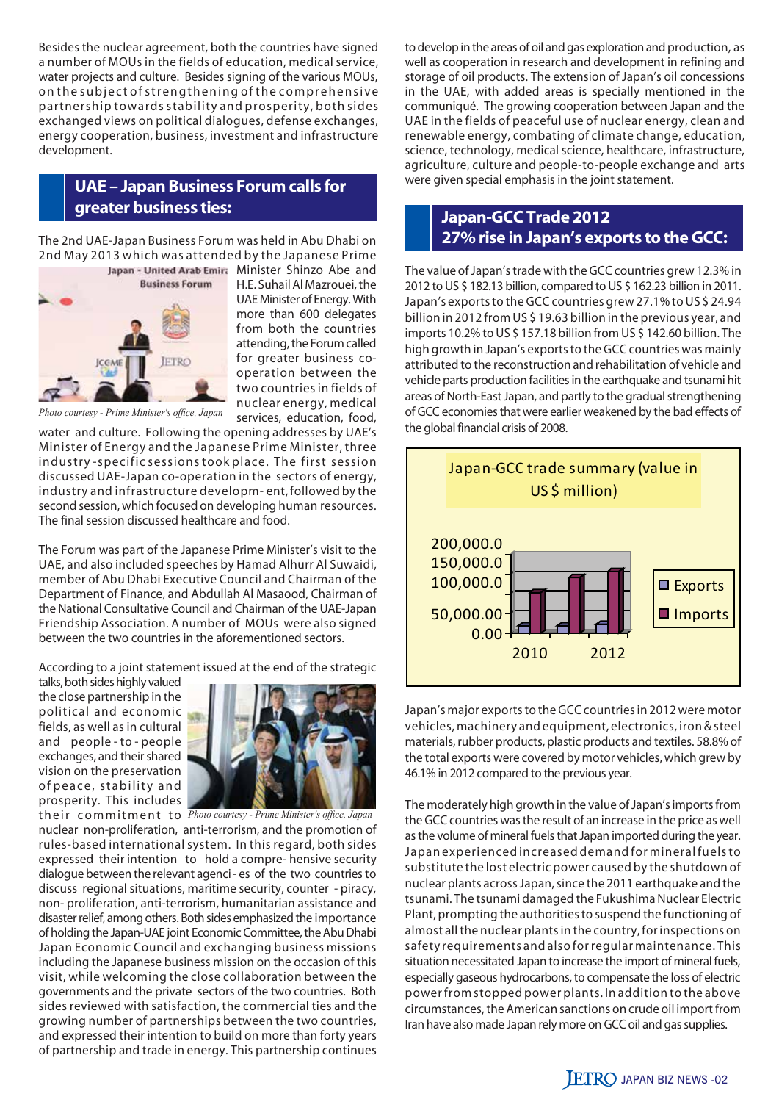Besides the nuclear agreement, both the countries have signed a number of MOUs in the fields of education, medical service, water projects and culture. Besides signing of the various MOUs, on the subject of strengthening of the comprehensive partnership towards stability and prosperity, both sides exchanged views on political dialogues, defense exchanges, energy cooperation, business, investment and infrastructure development.

# **UAE – Japan Business Forum calls for greater business ties: Japan-GCC Trade 2012**

The 2nd UAE-Japan Business Forum was held in Abu Dhabi on 2nd May 2013 which was attended by the Japanese Prime



H.E. Suhail Al Mazrouei, the UAE Minister of Energy. With more than 600 delegates from both the countries attending, the Forum called for greater business cooperation between the two countries in fields of nuclear energy, medical services, education, food,

*Photo courtesy - Prime Minister's office, Japan*

water and culture. Following the opening addresses by UAE's Minister of Energy and the Japanese Prime Minister, three industry -specific sessions took place. The first session discussed UAE-Japan co-operation in the sectors of energy, industry and infrastructure developm- ent, followed by the second session, which focused on developing human resources. The final session discussed healthcare and food.

The Forum was part of the Japanese Prime Minister's visit to the UAE, and also included speeches by Hamad Alhurr Al Suwaidi, member of Abu Dhabi Executive Council and Chairman of the Department of Finance, and Abdullah Al Masaood, Chairman of the National Consultative Council and Chairman of the UAE-Japan Friendship Association. A number of MOUs were also signed between the two countries in the aforementioned sectors.

According to a joint statement issued at the end of the strategic

talks, both sides highly valued the close partnership in the political and economic fields, as well as in cultural and people - to - people exchanges, and their shared vision on the preservation of peace, stability and prosperity. This includes



t h e i r c o m m i t m e n t t o *Photo courtesy - Prime Minister's office, Japan*nuclear non-proliferation, anti-terrorism, and the promotion of rules-based international system. In this regard, both sides expressed their intention to hold a compre- hensive security dialogue between the relevant agenci - es of the two countries to discuss regional situations, maritime security, counter - piracy, non- proliferation, anti-terrorism, humanitarian assistance and disaster relief, among others. Both sides emphasized the importance of holding the Japan-UAE joint Economic Committee, the Abu Dhabi Japan Economic Council and exchanging business missions including the Japanese business mission on the occasion of this visit, while welcoming the close collaboration between the governments and the private sectors of the two countries. Both sides reviewed with satisfaction, the commercial ties and the growing number of partnerships between the two countries, and expressed their intention to build on more than forty years of partnership and trade in energy. This partnership continues

to develop in the areas of oil and gas exploration and production, as well as cooperation in research and development in refining and storage of oil products. The extension of Japan's oil concessions in the UAE, with added areas is specially mentioned in the communiqué. The growing cooperation between Japan and the UAE in the fields of peaceful use of nuclear energy, clean and renewable energy, combating of climate change, education, science, technology, medical science, healthcare, infrastructure, agriculture, culture and people-to-people exchange and arts were given special emphasis in the joint statement.

# **27% rise in Japan's exports to the GCC:**

The value of Japan's trade with the GCC countries grew 12.3% in 2012 to US \$ 182.13 billion, compared to US \$ 162.23 billion in 2011. Japan's exports to the GCC countries grew 27.1% to US \$ 24.94 billion in 2012 from US \$ 19.63 billion in the previous year, and imports 10.2% to US \$ 157.18 billion from US \$ 142.60 billion. The high growth in Japan's exports to the GCC countries was mainly attributed to the reconstruction and rehabilitation of vehicle and vehicle parts production facilities in the earthquake and tsunami hit areas of North-East Japan, and partly to the gradual strengthening of GCC economies that were earlier weakened by the bad effects of the global financial crisis of 2008.



Japan's major exports to the GCC countries in 2012 were motor vehicles, machinery and equipment, electronics, iron & steel materials, rubber products, plastic products and textiles. 58.8% of the total exports were covered by motor vehicles, which grew by 46.1% in 2012 compared to the previous year.

The moderately high growth in the value of Japan's imports from the GCC countries was the result of an increase in the price as well as the volume of mineral fuels that Japan imported during the year. Japan experienced increased demand for mineral fuels to substitute the lost electric power caused by the shutdown of nuclear plants across Japan, since the 2011 earthquake and the tsunami. The tsunami damaged the Fukushima Nuclear Electric Plant, prompting the authorities to suspend the functioning of almost all the nuclear plants in the country, for inspections on safety requirements and also for regular maintenance. This situation necessitated Japan to increase the import of mineral fuels, especially gaseous hydrocarbons, to compensate the loss of electric power from stopped power plants. In addition to the above circumstances, the American sanctions on crude oil import from Iran have also made Japan rely more on GCC oil and gas supplies.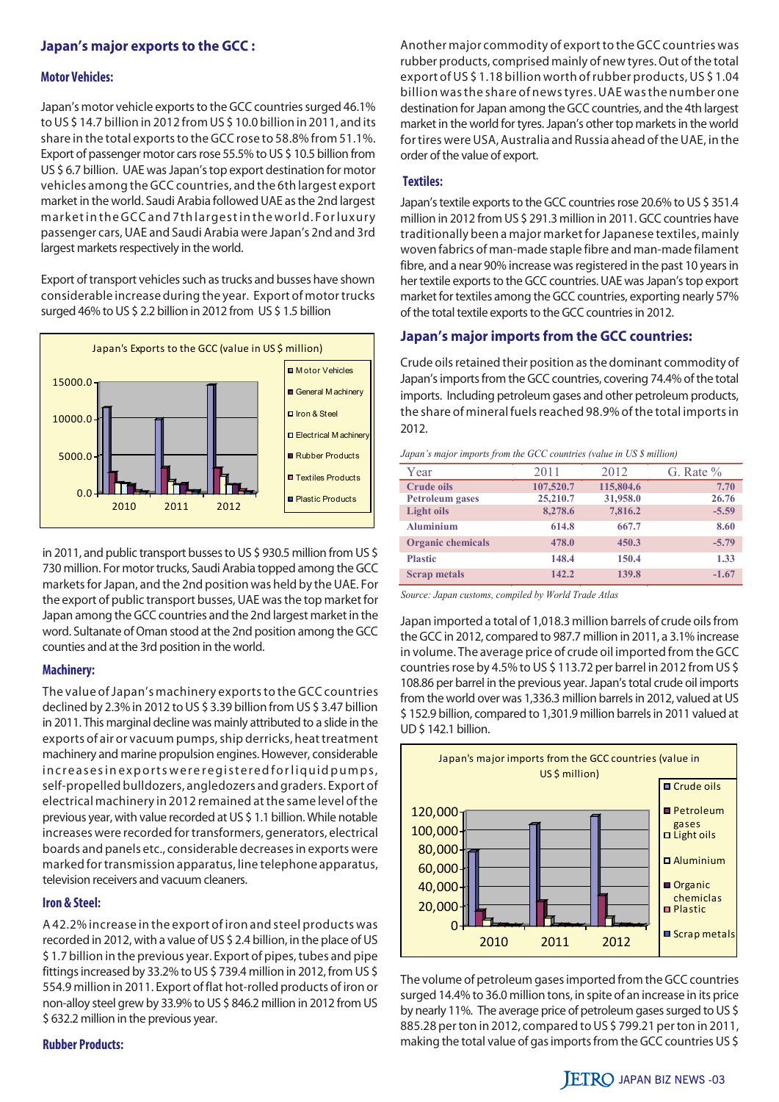#### **Japan's major exports to the GCC :**

#### **Motor Vehicles:**

Japan's motor vehicle exports to the GCC countries surged 46.1% to US \$ 14.7 billion in 2012 from US \$ 10.0 billion in 2011, and its share in the total exports to the GCC rose to 58.8% from 51.1%. Export of passenger motor cars rose 55.5% to US \$ 10.5 billion from US \$ 6.7 billion. UAE was Japan's top export destination for motor vehicles among the GCC countries, and the 6th largest export market in the world. Saudi Arabia followed UAE as the 2nd largest market in the GCC and 7th largest in the world. For luxury passenger cars, UAE and Saudi Arabia were Japan's 2nd and 3rd largest markets respectively in the world.

Export of transport vehicles such as trucks and busses have shown considerable increase during the year. Export of motor trucks surged 46% to US \$ 2.2 billion in 2012 from US \$ 1.5 billion



in 2011, and public transport busses to US \$ 930.5 million from US \$ 730 million. For motor trucks, Saudi Arabia topped among the GCC markets for Japan, and the 2nd position was held by the UAE. For the export of public transport busses, UAE was the top market for Japan among the GCC countries and the 2nd largest market in the word. Sultanate of Oman stood at the 2nd position among the GCC counties and at the 3rd position in the world.

#### **Machinery:**

The value of Japan's machinery exports to the GCC countries declined by 2.3% in 2012 to US \$ 3.39 billion from US \$ 3.47 billion in 2011. This marginal decline was mainly attributed to a slide in the exports of air or vacuum pumps, ship derricks, heat treatment machinery and marine propulsion engines. However, considerable in creases in exports we reregistered for liquid pumps, self-propelled bulldozers, angledozers and graders. Export of electrical machinery in 2012 remained at the same level of the previous year, with value recorded at US \$ 1.1 billion. While notable increases were recorded for transformers, generators, electrical boards and panels etc., considerable decreases in exports were marked for transmission apparatus, line telephone apparatus, television receivers and vacuum cleaners.

#### **Iron & Steel:**

A 42.2% increase in the export of iron and steel products was recorded in 2012, with a value of US \$ 2.4 billion, in the place of US \$ 1.7 billion in the previous year. Export of pipes, tubes and pipe fittings increased by 33.2% to US \$ 739.4 million in 2012, from US \$ 554.9 million in 2011. Export of flat hot-rolled products of iron or non-alloy steel grew by 33.9% to US \$ 846.2 million in 2012 from US \$ 632.2 million in the previous year.

#### **Rubber Products:**

Another major commodity of export to the GCC countries was rubber products, comprised mainly of new tyres. Out of the total export of US \$ 1.18 billion worth of rubber products, US \$ 1.04 billion was the share of news tyres. UAE was the number one destination for Japan among the GCC countries, and the 4th largest market in the world for tyres. Japan's other top markets in the world for tires were USA, Australia and Russia ahead of the UAE, in the order of the value of export.

#### **Textiles:**

Japan's textile exports to the GCC countries rose 20.6% to US \$ 351.4 million in 2012 from US \$ 291.3 million in 2011. GCC countries have traditionally been a major market for Japanese textiles, mainly woven fabrics of man-made staple fibre and man-made filament fibre, and a near 90% increase was registered in the past 10 years in her textile exports to the GCC countries. UAE was Japan's top export market for textiles among the GCC countries, exporting nearly 57% of the total textile exports to the GCC countries in 2012.

#### **Japan's major imports from the GCC countries:**

Crude oils retained their position as the dominant commodity of Japan's imports from the GCC countries, covering 74.4% of the total imports. Including petroleum gases and other petroleum products, the share of mineral fuels reached 98.9% of the total imports in 2012.

#### *Japan's major imports from the GCC countries (value in US \$ million)*

| Year                     | 2011      | 2012      | G. Rate $\%$ |
|--------------------------|-----------|-----------|--------------|
| <b>Crude oils</b>        | 107,520.7 | 115,804.6 | 7.70         |
| <b>Petroleum</b> gases   | 25,210.7  | 31,958.0  | 26.76        |
| <b>Light oils</b>        | 8,278.6   | 7,816.2   | $-5.59$      |
| <b>Aluminium</b>         | 614.8     | 667.7     | 8.60         |
| <b>Organic chemicals</b> | 478.0     | 450.3     | $-5.79$      |
| <b>Plastic</b>           | 148.4     | 150.4     | 1.33         |
| <b>Scrap metals</b>      | 142.2     | 139.8     | $-1.67$      |

*Source: Japan customs, compiled by World Trade Atlas*

Japan imported a total of 1,018.3 million barrels of crude oils from the GCC in 2012, compared to 987.7 million in 2011, a 3.1% increase in volume. The average price of crude oil imported from the GCC countries rose by 4.5% to US \$ 113.72 per barrel in 2012 from US \$ 108.86 per barrel in the previous year. Japan's total crude oil imports from the world over was 1,336.3 million barrels in 2012, valued at US \$ 152.9 billion, compared to 1,301.9 million barrels in 2011 valued at UD \$ 142.1 billion.



The volume of petroleum gases imported from the GCC countries surged 14.4% to 36.0 million tons, in spite of an increase in its price by nearly 11%. The average price of petroleum gases surged to US \$ 885.28 per ton in 2012, compared to US \$ 799.21 per ton in 2011, making the total value of gas imports from the GCC countries US \$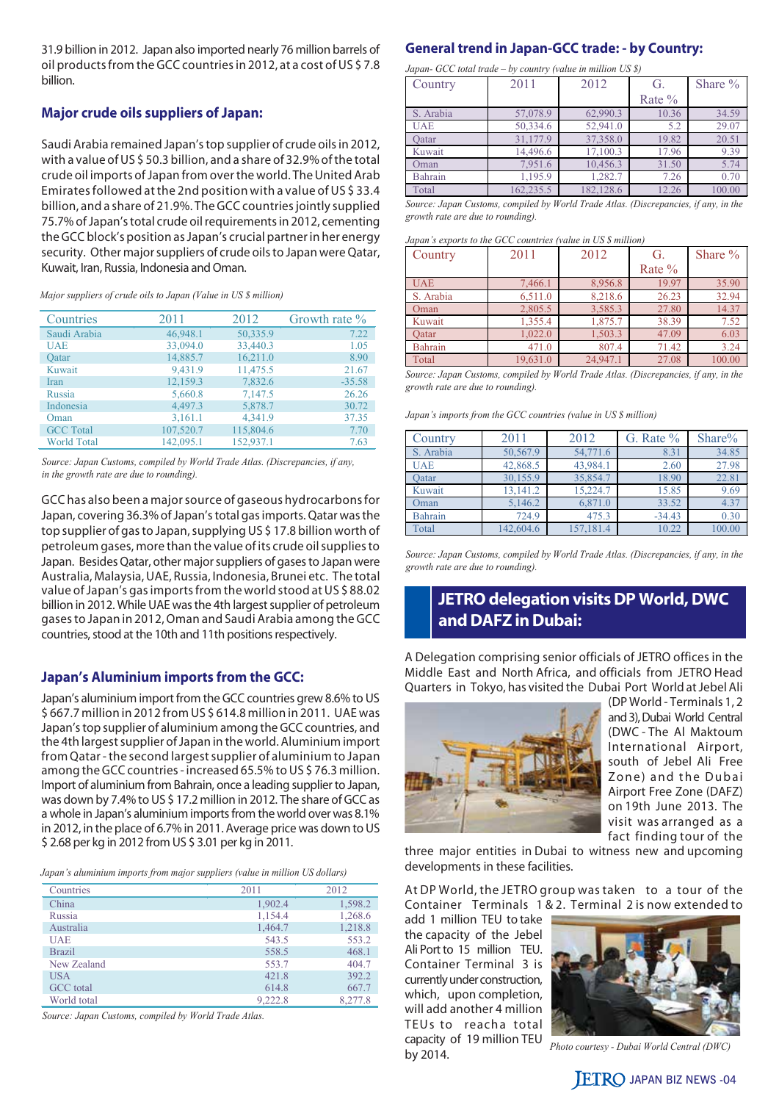31.9 billion in 2012. Japan also imported nearly 76 million barrels of oil products from the GCC countries in 2012, at a cost of US \$ 7.8 billion.

#### **Major crude oils suppliers of Japan:**

Saudi Arabia remained Japan's top supplier of crude oils in 2012, with a value of US \$ 50.3 billion, and a share of 32.9% of the total crude oil imports of Japan from over the world. The United Arab Emirates followed at the 2nd position with a value of US \$ 33.4 billion, and a share of 21.9%. The GCC countries jointly supplied 75.7% of Japan's total crude oil requirements in 2012, cementing the GCC block's position as Japan's crucial partner in her energy security. Other major suppliers of crude oils to Japan were Qatar, Kuwait, Iran, Russia, Indonesia and Oman.

*Major suppliers of crude oils to Japan (Value in US \$ million)*

| Countries          | 2011      | 2012      | Growth rate $\%$ |
|--------------------|-----------|-----------|------------------|
| Saudi Arabia       | 46,948.1  | 50,335.9  | 7.22             |
| <b>UAE</b>         | 33,094.0  | 33,440.3  | 1.05             |
| Oatar              | 14,885.7  | 16,211.0  | 8.90             |
| Kuwait             | 9,431.9   | 11,475.5  | 21.67            |
| Iran               | 12,159.3  | 7,832.6   | $-35.58$         |
| Russia             | 5,660.8   | 7,147.5   | 26.26            |
| Indonesia          | 4,497.3   | 5,878.7   | 30.72            |
| Oman               | 3,161.1   | 4,341.9   | 37.35            |
| <b>GCC</b> Total   | 107,520.7 | 115,804.6 | 7.70             |
| <b>World Total</b> | 142,095.1 | 152,937.1 | 7.63             |

*Source: Japan Customs, compiled by World Trade Atlas. (Discrepancies, if any, in the growth rate are due to rounding).*

GCC has also been a major source of gaseous hydrocarbons for Japan, covering 36.3% of Japan's total gas imports. Qatar was the top supplier of gas to Japan, supplying US \$ 17.8 billion worth of petroleum gases, more than the value of its crude oil supplies to Japan. Besides Qatar, other major suppliers of gases to Japan were Australia, Malaysia, UAE, Russia, Indonesia, Brunei etc. The total value of Japan's gas imports from the world stood at US \$ 88.02 billion in 2012. While UAE was the 4th largest supplier of petroleum gases to Japan in 2012, Oman and Saudi Arabia among the GCC countries, stood at the 10th and 11th positions respectively.

#### **Japan's Aluminium imports from the GCC:**

Japan's aluminium import from the GCC countries grew 8.6% to US \$ 667.7 million in 2012 from US \$ 614.8 million in 2011. UAE was Japan's top supplier of aluminium among the GCC countries, and the 4th largest supplier of Japan in the world. Aluminium import from Qatar - the second largest supplier of aluminium to Japan among the GCC countries - increased 65.5% to US \$ 76.3 million. Import of aluminium from Bahrain, once a leading supplier to Japan, was down by 7.4% to US \$ 17.2 million in 2012. The share of GCC as a whole in Japan's aluminium imports from the world over was 8.1% in 2012, in the place of 6.7% in 2011. Average price was down to US \$ 2.68 per kg in 2012 from US \$ 3.01 per kg in 2011.

*Japan's aluminium imports from major suppliers (value in million US dollars)*

| Countries        | 2011    | 2012    |
|------------------|---------|---------|
| China            | 1,902.4 | 1,598.2 |
| Russia           | 1,154.4 | 1,268.6 |
| Australia        | 1,464.7 | 1,218.8 |
| <b>UAE</b>       | 543.5   | 553.2   |
| <b>Brazil</b>    | 558.5   | 468.1   |
| New Zealand      | 553.7   | 404.7   |
| <b>USA</b>       | 421.8   | 392.2   |
| <b>GCC</b> total | 614.8   | 667.7   |
| World total      | 9.222.8 | 8.277.8 |

*Source: Japan Customs, compiled by World Trade Atlas.*

#### **General trend in Japan-GCC trade: - by Country:**

*Japan- GCC total trade – by country (value in million US \$)*

| Country    | 2011      | 2012      | G.        | Share $\%$ |
|------------|-----------|-----------|-----------|------------|
|            |           |           | Rate $\%$ |            |
| S. Arabia  | 57,078.9  | 62,990.3  | 10.36     | 34.59      |
| <b>UAE</b> | 50,334.6  | 52,941.0  | 5.2       | 29.07      |
| Oatar      | 31.177.9  | 37,358.0  | 19.82     | 20.51      |
| Kuwait     | 14,496.6  | 17,100.3  | 17.96     | 9.39       |
| Oman       | 7.951.6   | 10,456.3  | 31.50     | 5.74       |
| Bahrain    | 1,195.9   | 1,282.7   | 7.26      | 0.70       |
| Total      | 162.235.5 | 182.128.6 | 12.26     | 100.00     |

*Source: Japan Customs, compiled by World Trade Atlas. (Discrepancies, if any, in the growth rate are due to rounding).*

*Japan's exports to the GCC countries (value in US \$ million)*

| Country    | 2011     | 2012     | G.       | Share % |
|------------|----------|----------|----------|---------|
|            |          |          | Rate $%$ |         |
| <b>UAE</b> | 7,466.1  | 8,956.8  | 19.97    | 35.90   |
| S. Arabia  | 6,511.0  | 8,218.6  | 26.23    | 32.94   |
| Oman       | 2,805.5  | 3,585.3  | 27.80    | 14.37   |
| Kuwait     | 1,355.4  | 1,875.7  | 38.39    | 7.52    |
| Oatar      | 1,022.0  | 1,503.3  | 47.09    | 6.03    |
| Bahrain    | 471.0    | 807.4    | 71.42    | 3.24    |
| Total      | 19.631.0 | 24,947.1 | 27.08    | 100.00  |

*Source: Japan Customs, compiled by World Trade Atlas. (Discrepancies, if any, in the growth rate are due to rounding).*

*Japan's imports from the GCC countries (value in US \$ million)*

| Country    | 2011      | 2012      | G. Rate $%$ | Share% |
|------------|-----------|-----------|-------------|--------|
| S. Arabia  | 50,567.9  | 54,771.6  | 8.31        | 34.85  |
| <b>UAE</b> | 42,868.5  | 43,984.1  | 2.60        | 27.98  |
| Oatar      | 30,155.9  | 35,854.7  | 18.90       | 22.81  |
| Kuwait     | 13,141.2  | 15,224.7  | 15.85       | 9.69   |
| Oman       | 5.146.2   | 6,871.0   | 33.52       | 4.37   |
| Bahrain    | 724.9     | 475.3     | $-34.43$    | 0.30   |
| Total      | 142,604.6 | 157,181.4 | 10.22       | 100.00 |

*Source: Japan Customs, compiled by World Trade Atlas. (Discrepancies, if any, in the growth rate are due to rounding).*

# **JETRO delegation visits DP World, DWC and DAFZ in Dubai:**

A Delegation comprising senior officials of JETRO offices in the Middle East and North Africa, and officials from JETRO Head Quarters in Tokyo, has visited the Dubai Port World at Jebel Ali



(DP World - Terminals 1, 2 and 3), Dubai World Central (DWC - The Al Maktoum International Airport, south of Jebel Ali Free Zone) and the Dubai Airport Free Zone (DAFZ) on 19th June 2013. The visit was arranged as a fact finding tour of the

three major entities in Dubai to witness new and upcoming developments in these facilities.

At DP World, the JETRO group was taken to a tour of the Container Terminals 1 & 2. Terminal 2 is now extended to

add 1 million TEU to take the capacity of the Jebel Ali Port to 15 million TEU. Container Terminal 3 is currently under construction, which, upon completion, will add another 4 million TEUs to reacha total capacity of 19 million TEU by 2014.



*Photo courtesy - Dubai World Central (DWC)*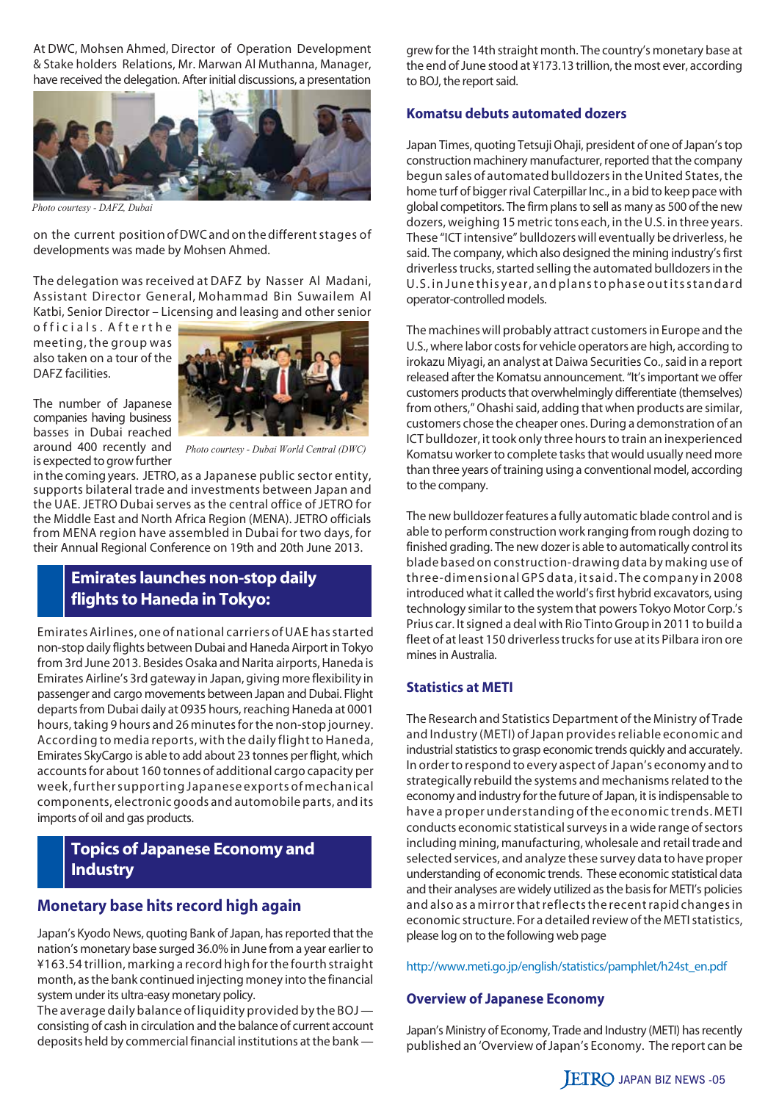At DWC, Mohsen Ahmed, Director of Operation Development & Stake holders Relations, Mr. Marwan Al Muthanna, Manager, have received the delegation. After initial discussions, a presentation



*Photo courtesy - DAFZ, Dubai*

on the current position of DWC and on the different stages of developments was made by Mohsen Ahmed.

The delegation was received at DAFZ by Nasser Al Madani, Assistant Director General, Mohammad Bin Suwailem Al Katbi, Senior Director – Licensing and leasing and other senior

o f ficials. A f t er the meeting, the group was also taken on a tour of the DAFZ facilities.



around 400 recently and is expected to grow further

 *Photo courtesy - Dubai World Central (DWC)*

in the coming years. JETRO, as a Japanese public sector entity, supports bilateral trade and investments between Japan and the UAE. JETRO Dubai serves as the central office of JETRO for the Middle East and North Africa Region (MENA). JETRO officials from MENA region have assembled in Dubai for two days, for their Annual Regional Conference on 19th and 20th June 2013.

## **Emirates launches non-stop daily flights to Haneda in Tokyo:**

Emirates Airlines, one of national carriers of UAE has started non-stop daily flights between Dubai and Haneda Airport in Tokyo from 3rd June 2013. Besides Osaka and Narita airports, Haneda is Emirates Airline's 3rd gateway in Japan, giving more flexibility in passenger and cargo movements between Japan and Dubai. Flight departs from Dubai daily at 0935 hours, reaching Haneda at 0001 hours, taking 9 hours and 26 minutes for the non-stop journey. According to media reports, with the daily flight to Haneda, Emirates SkyCargo is able to add about 23 tonnes per flight, which accounts for about 160 tonnes of additional cargo capacity per week, further supporting Japanese exports of mechanical components, electronic goods and automobile parts, and its imports of oil and gas products.

# **Topics of Japanese Economy and Industry**

### **Monetary base hits record high again**

Japan's Kyodo News, quoting Bank of Japan, has reported that the nation's monetary base surged 36.0% in June from a year earlier to ¥163.54 trillion, marking a record high for the fourth straight month, as the bank continued injecting money into the financial system under its ultra-easy monetary policy.

The average daily balance of liquidity provided by the BOJ consisting of cash in circulation and the balance of current account deposits held by commercial financial institutions at the bank —

grew for the 14th straight month. The country's monetary base at the end of June stood at ¥173.13 trillion, the most ever, according to BOJ, the report said.

#### **Komatsu debuts automated dozers**

Japan Times, quoting Tetsuji Ohaji, president of one of Japan's top construction machinery manufacturer, reported that the company begun sales of automated bulldozers in the United States, the home turf of bigger rival Caterpillar Inc., in a bid to keep pace with global competitors. The firm plans to sell as many as 500 of the new dozers, weighing 15 metric tons each, in the U.S. in three years. These "ICT intensive" bulldozers will eventually be driverless, he said. The company, which also designed the mining industry's first driverless trucks, started selling the automated bulldozers in the U.S. in June this year, and plans to phase out its standard operator-controlled models.

The machines will probably attract customers in Europe and the U.S., where labor costs for vehicle operators are high, according to irokazu Miyagi, an analyst at Daiwa Securities Co., said in a report released after the Komatsu announcement. "It's important we offer customers products that overwhelmingly differentiate (themselves) from others," Ohashi said, adding that when products are similar, customers chose the cheaper ones. During a demonstration of an ICT bulldozer, it took only three hours to train an inexperienced Komatsu worker to complete tasks that would usually need more than three years of training using a conventional model, according to the company.

The new bulldozer features a fully automatic blade control and is able to perform construction work ranging from rough dozing to finished grading. The new dozer is able to automatically control its blade based on construction-drawing data by making use of three-dimensional GPS data, it said. The company in 2008 introduced what it called the world's first hybrid excavators, using technology similar to the system that powers Tokyo Motor Corp.'s Prius car. It signed a deal with Rio Tinto Group in 2011 to build a fleet of at least 150 driverless trucks for use at its Pilbara iron ore mines in Australia.

#### **Statistics at METI**

The Research and Statistics Department of the Ministry of Trade and Industry (METI) of Japan provides reliable economic and industrial statistics to grasp economic trends quickly and accurately. In order to respond to every aspect of Japan's economy and to strategically rebuild the systems and mechanisms related to the economy and industry for the future of Japan, it is indispensable to have a proper understanding of the economic trends. METI conducts economic statistical surveys in a wide range of sectors including mining, manufacturing, wholesale and retail trade and selected services, and analyze these survey data to have proper understanding of economic trends. These economic statistical data and their analyses are widely utilized as the basis for METI's policies and also as a mirror that reflects the recent rapid changes in economic structure. For a detailed review of the METI statistics, please log on to the following web page

http://www.meti.go.jp/english/statistics/pamphlet/h24st\_en.pdf

#### **Overview of Japanese Economy**

Japan's Ministry of Economy, Trade and Industry (METI) has recently published an 'Overview of Japan's Economy. The report can be